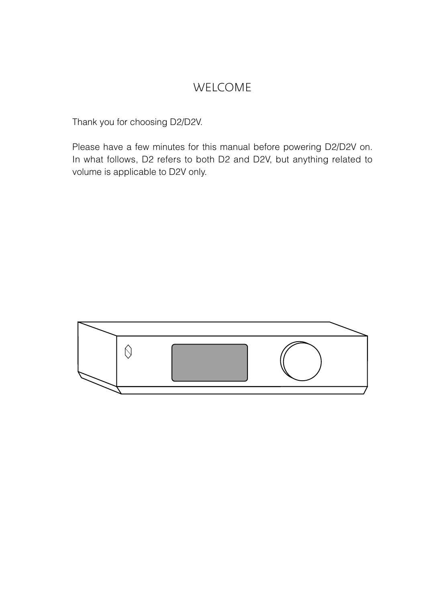## WELCOME

Thank you for choosing D2/D2V.

Please have a few minutes for this manual before powering D2/D2V on. In what follows, D2 refers to both D2 and D2V, but anything related to volume is applicable to D2V only.

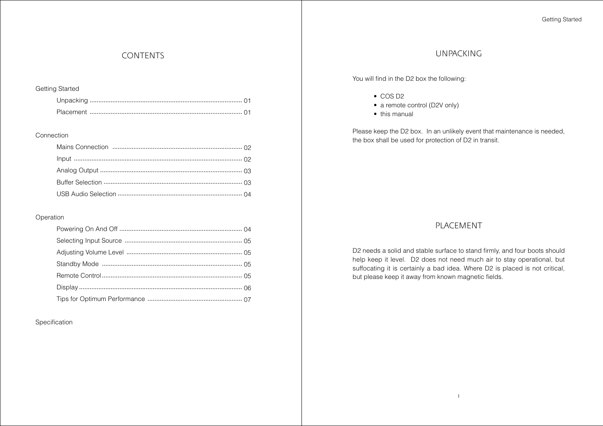# CONTENTS

#### Getting Started

#### Connection

## Operation

Specification

## UNPACKING

You will find in the D2 box the following:

- COS D2
- a remote control (D2V only)
- this manual

Please keep the D2 box. In an unlikely event that maintenance is needed, the box shall be used for protection of D2 in transit.

## PLACEMENT

D2 needs a solid and stable surface to stand firmly, and four boots should help keep it level. D2 does not need much air to stay operational, but suffocating it is certainly a bad idea. Where D2 is placed is not critical, but please keep it away from known magnetic fields.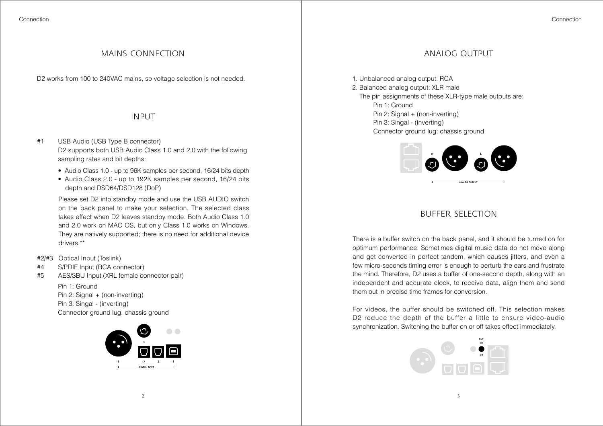## MAINS CONNECTION ANALOG OUTPUT

D2 works from 100 to 240VAC mains, so voltage selection is not needed.

## INPUT

- #1 USB Audio (USB Type B connector) D2 supports both USB Audio Class 1.0 and 2.0 with the following sampling rates and bit depths:
	- Audio Class 1.0 up to 96K samples per second, 16/24 bits depth
	- Audio Class 2.0 up to 192K samples per second, 16/24 bits depth and DSD64/DSD128 (DoP)

Please set D2 into standby mode and use the USB AUDIO switch on the back panel to make your selection. The selected class takes effect when D2 leaves standby mode. Both Audio Class 1.0 and 2.0 work on MAC OS, but only Class 1.0 works on Windows. They are natively supported; there is no need for additional device drivers<sup>\*\*</sup>

- #2/#3 Optical Input (Toslink)
- #4 S/PDIF Input (RCA connector)
- #5 AES/SBU Input (XRL female connector pair)

Pin 1: Ground Pin 2: Signal + (non-inverting) Pin 3: Singal - (inverting) Connector ground lug: chassis ground



1. Unbalanced analog output: RCA 2. Balanced analog output: XLR male The pin assignments of these XLR-type male outputs are: Pin 1: Ground Pin 2: Signal + (non-inverting) Pin 3: Singal - (inverting) Connector ground lug: chassis ground



## BUFFER SELECTION

There is a buffer switch on the back panel, and it should be turned on for optimum performance. Sometimes digital music data do not move along and get converted in perfect tandem, which causes jitters, and even a few micro-seconds timing error is enough to perturb the ears and frustrate the mind. Therefore, D2 uses a buffer of one-second depth, along with an independent and accurate clock, to receive data, align them and send them out in precise time frames for conversion.

For videos, the buffer should be switched off. This selection makes D2 reduce the depth of the buffer a little to ensure video-audio synchronization. Switching the buffer on or off takes effect immediately.

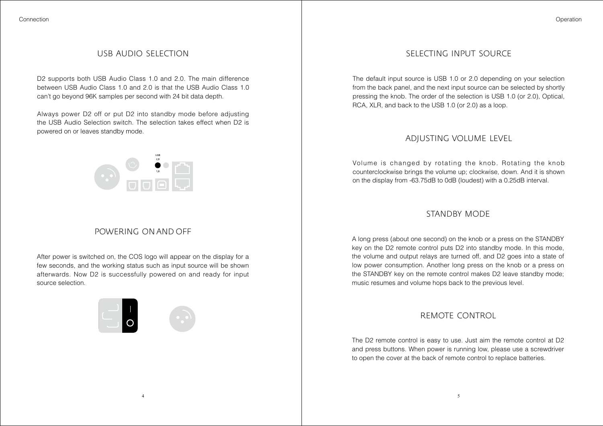## USB AUDIO SELECTION

D2 supports both USB Audio Class 1.0 and 2.0. The main difference between USB Audio Class 1.0 and 2.0 is that the USB Audio Class 1.0 can't go beyond 96K samples per second with 24 bit data depth.

Always power D2 off or put D2 into standby mode before adjusting the USB Audio Selection switch. The selection takes effect when D2 is powered on or leaves standby mode.

 $\begin{picture}(120,15) \put(0,0){\line(1,0){15}} \put(15,0){\line(1,0){15}} \put(15,0){\line(1,0){15}} \put(15,0){\line(1,0){15}} \put(15,0){\line(1,0){15}} \put(15,0){\line(1,0){15}} \put(15,0){\line(1,0){15}} \put(15,0){\line(1,0){15}} \put(15,0){\line(1,0){15}} \put(15,0){\line(1,0){15}} \put(15,0){\line(1,0){15}} \put(15,0){\line($ 

# POWERING ON AND OFF

After power is switched on, the COS logo will appear on the display for a few seconds, and the working status such as input source will be shown afterwards. Now D2 is successfully powered on and ready for input source selection.

4





## SELECTING INPUT SOURCE

The default input source is USB 1.0 or 2.0 depending on your selection from the back panel, and the next input source can be selected by shortly pressing the knob. The order of the selection is USB 1.0 (or 2.0), Optical, RCA, XLR, and back to the USB 1.0 (or 2.0) as a loop.

## ADJUSTING VOLUME LEVEL

Volume is changed by rotating the knob. Rotating the knob counterclockwise brings the volume up; clockwise, down. And it is shown on the display from -63.75dB to 0dB (loudest) with a 0.25dB interval.

## STANDBY MODE

A long press (about one second) on the knob or a press on the STANDBY key on the D2 remote control puts D2 into standby mode. In this mode, the volume and output relays are turned off, and D2 goes into a state of low power consumption. Another long press on the knob or a press on the STANDBY key on the remote control makes D2 leave standby mode; music resumes and volume hops back to the previous level.

# REMOTE CONTROL

The D2 remote control is easy to use. Just aim the remote control at D2 and press buttons. When power is running low, please use a screwdriver to open the cover at the back of remote control to replace batteries.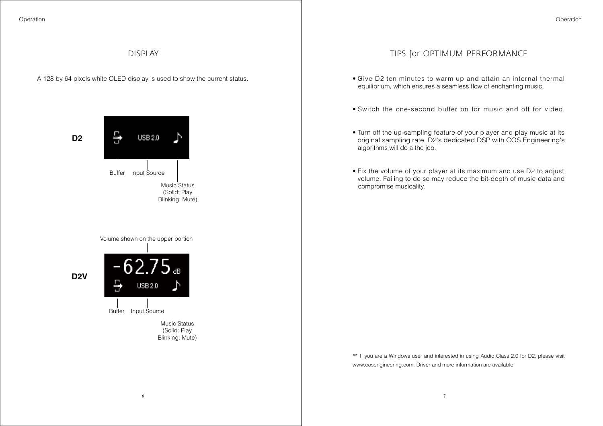## DISPLAY

A 128 by 64 pixels white OLED display is used to show the current status.

**D2**



Volume shown on the upper portion

**D2V**



# TIPS for OPTIMUM PERFORMANCE

- Give D2 ten minutes to warm up and attain an internal thermal equilibrium, which ensures a seamless flow of enchanting music.
- Switch the one-second buffer on for music and off for video.
- Turn off the up-sampling feature of your player and play music at its original sampling rate. D2's dedicated DSP with COS Engineering's algorithms will do a the job.
- Fix the volume of your player at its maximum and use D2 to adjust volume. Failing to do so may reduce the bit-depth of music data and compromise musicality.

\*\* If you are a Windows user and interested in using Audio Class 2.0 for D2, please visit www.cosengineering.com. Driver and more information are available.